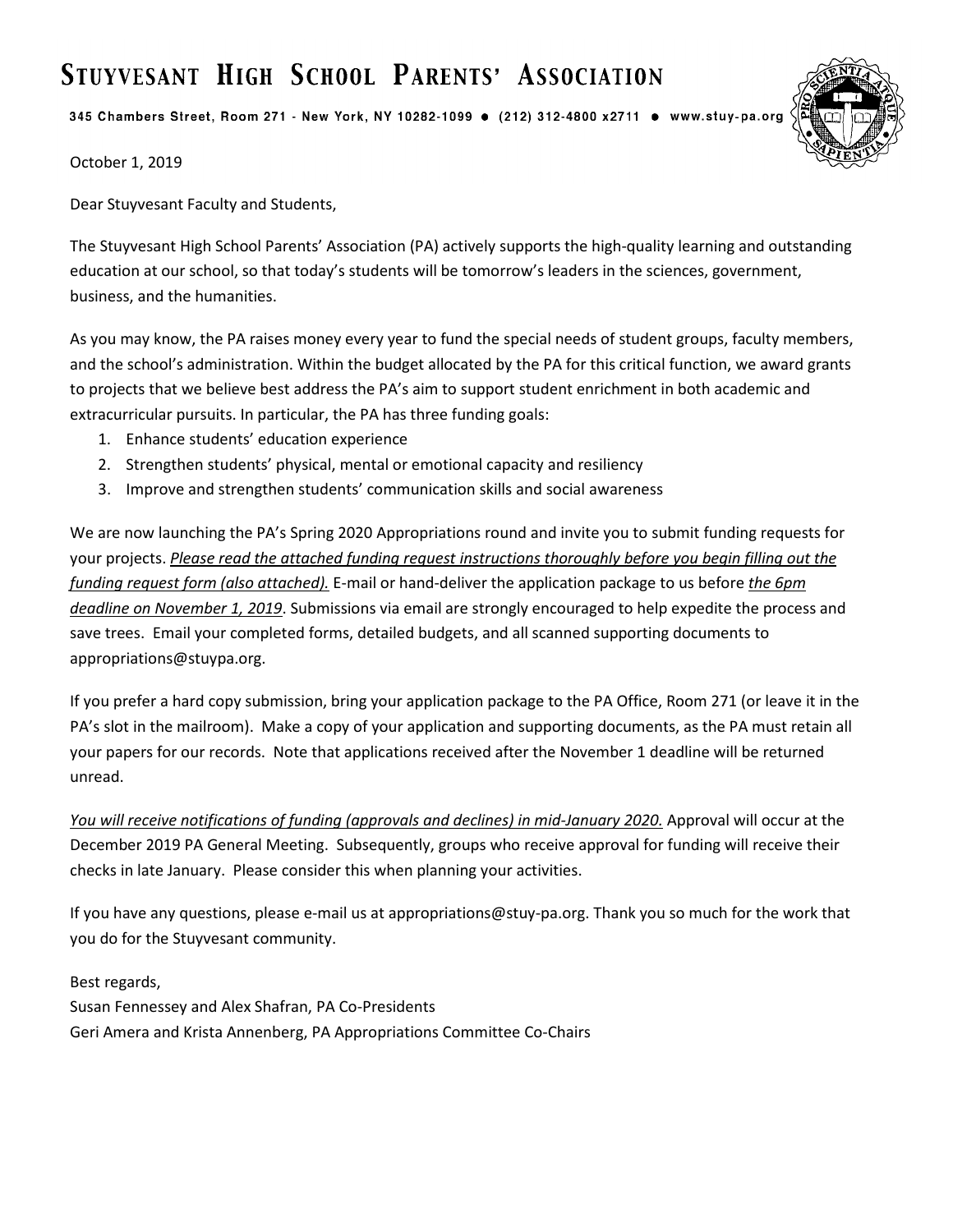# STUYVESANT HIGH SCHOOL PARENTS' ASSOCIATION

345 Chambers Street, Room 271 - New York, NY 10282-1099 · (212) 312-4800 x2711 · www.stuy-pa.org



October 1, 2019

Dear Stuyvesant Faculty and Students,

The Stuyvesant High School Parents' Association (PA) actively supports the high-quality learning and outstanding education at our school, so that today's students will be tomorrow's leaders in the sciences, government, business, and the humanities.

As you may know, the PA raises money every year to fund the special needs of student groups, faculty members, and the school's administration. Within the budget allocated by the PA for this critical function, we award grants to projects that we believe best address the PA's aim to support student enrichment in both academic and extracurricular pursuits. In particular, the PA has three funding goals:

- 1. Enhance students' education experience
- 2. Strengthen students' physical, mental or emotional capacity and resiliency
- 3. Improve and strengthen students' communication skills and social awareness

We are now launching the PA's Spring 2020 Appropriations round and invite you to submit funding requests for your projects. *Please read the attached funding request instructions thoroughly before you begin filling out the funding request form (also attached).* E-mail or hand-deliver the application package to us before *the 6pm deadline on November 1, 2019*. Submissions via email are strongly encouraged to help expedite the process and save trees. Email your completed forms, detailed budgets, and all scanned supporting documents to appropriations@stuypa.org.

If you prefer a hard copy submission, bring your application package to the PA Office, Room 271 (or leave it in the PA's slot in the mailroom). Make a copy of your application and supporting documents, as the PA must retain all your papers for our records. Note that applications received after the November 1 deadline will be returned unread.

*You will receive notifications of funding (approvals and declines) in mid-January 2020.* Approval will occur at the December 2019 PA General Meeting. Subsequently, groups who receive approval for funding will receive their checks in late January. Please consider this when planning your activities.

If you have any questions, please e-mail us at appropriations@stuy-pa.org. Thank you so much for the work that you do for the Stuyvesant community.

Best regards,

Susan Fennessey and Alex Shafran, PA Co-Presidents Geri Amera and Krista Annenberg, PA Appropriations Committee Co-Chairs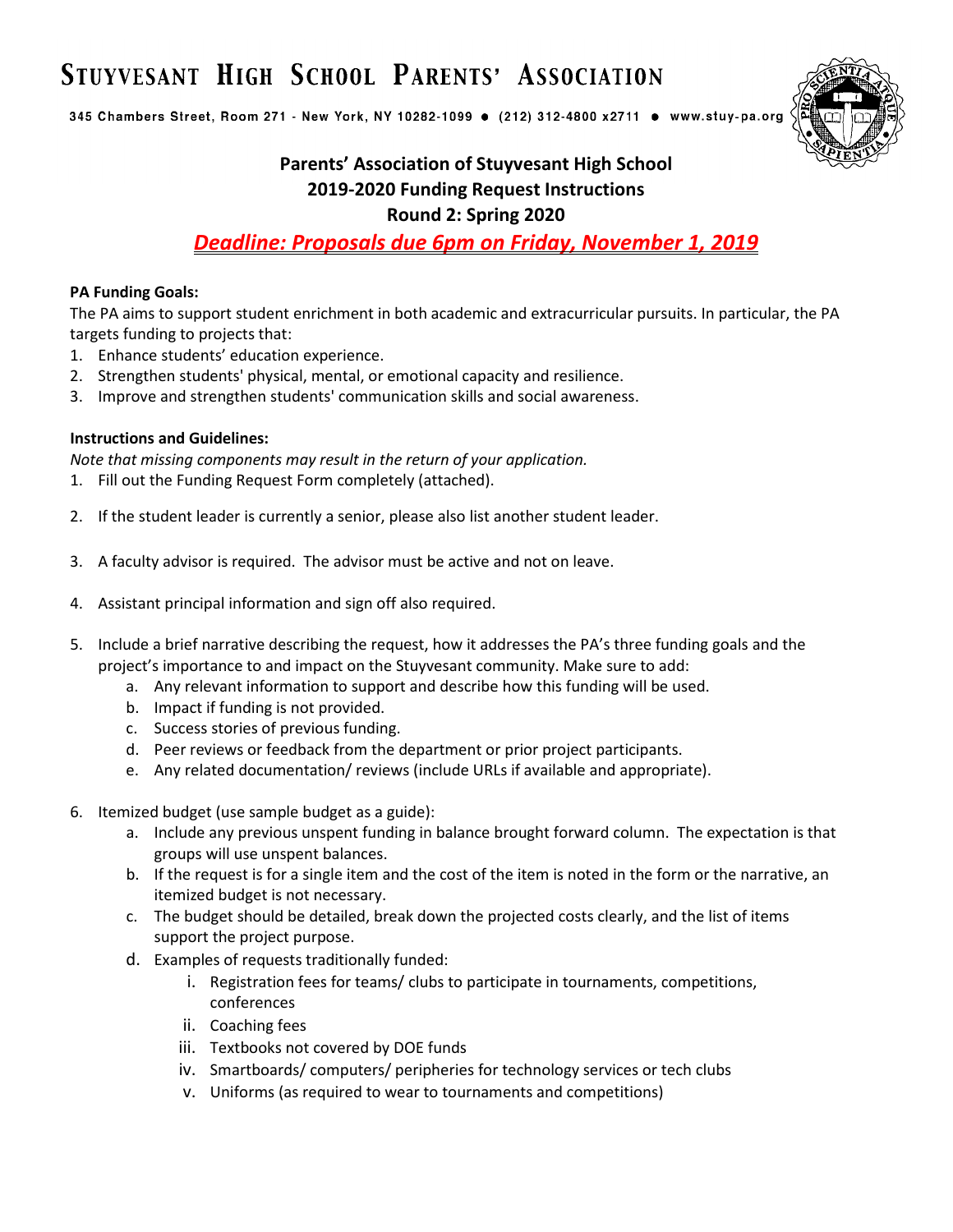# STUYVESANT HIGH SCHOOL PARENTS' ASSOCIATION

345 Chambers Street, Room 271 - New York, NY 10282-1099 · (212) 312-4800 x2711 · www.stuy-pa.org



## **Parents' Association of Stuyvesant High School 2019-2020 Funding Request Instructions Round 2: Spring 2020**

*Deadline: Proposals due 6pm on Friday, November 1, 2019*

### **PA Funding Goals:**

The PA aims to support student enrichment in both academic and extracurricular pursuits. In particular, the PA targets funding to projects that:

- 1. Enhance students' education experience.
- 2. Strengthen students' physical, mental, or emotional capacity and resilience.
- 3. Improve and strengthen students' communication skills and social awareness.

### **Instructions and Guidelines:**

*Note that missing components may result in the return of your application.*

- 1. Fill out the Funding Request Form completely (attached).
- 2. If the student leader is currently a senior, please also list another student leader.
- 3. A faculty advisor is required. The advisor must be active and not on leave.
- 4. Assistant principal information and sign off also required.
- 5. Include a brief narrative describing the request, how it addresses the PA's three funding goals and the project's importance to and impact on the Stuyvesant community. Make sure to add:
	- a. Any relevant information to support and describe how this funding will be used.
	- b. Impact if funding is not provided.
	- c. Success stories of previous funding.
	- d. Peer reviews or feedback from the department or prior project participants.
	- e. Any related documentation/ reviews (include URLs if available and appropriate).
- 6. Itemized budget (use sample budget as a guide):
	- a. Include any previous unspent funding in balance brought forward column. The expectation is that groups will use unspent balances.
	- b. If the request is for a single item and the cost of the item is noted in the form or the narrative, an itemized budget is not necessary.
	- c. The budget should be detailed, break down the projected costs clearly, and the list of items support the project purpose.
	- d. Examples of requests traditionally funded:
		- i. Registration fees for teams/ clubs to participate in tournaments, competitions, conferences
		- ii. Coaching fees
		- iii. Textbooks not covered by DOE funds
		- iv. Smartboards/ computers/ peripheries for technology services or tech clubs
		- v. Uniforms (as required to wear to tournaments and competitions)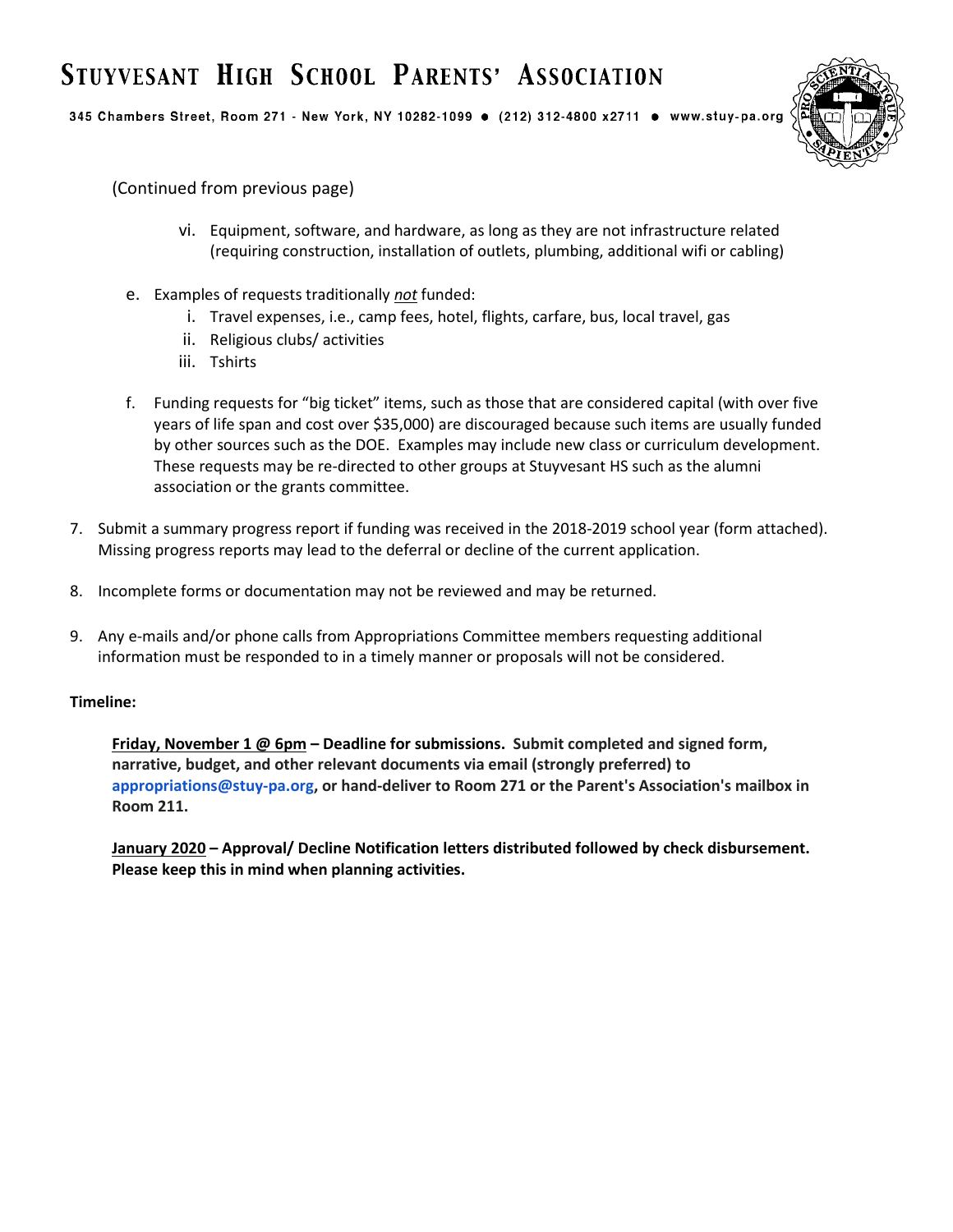## STUYVESANT HIGH SCHOOL PARENTS' ASSOCIATION

345 Chambers Street, Room 271 - New York, NY 10282-1099 · (212) 312-4800 x2711 · www.stuy-pa.org



(Continued from previous page)

- vi. Equipment, software, and hardware, as long as they are not infrastructure related (requiring construction, installation of outlets, plumbing, additional wifi or cabling)
- e. Examples of requests traditionally *not* funded:
	- i. Travel expenses, i.e., camp fees, hotel, flights, carfare, bus, local travel, gas
	- ii. Religious clubs/ activities
	- iii. Tshirts
- f. Funding requests for "big ticket" items, such as those that are considered capital (with over five years of life span and cost over \$35,000) are discouraged because such items are usually funded by other sources such as the DOE. Examples may include new class or curriculum development. These requests may be re-directed to other groups at Stuyvesant HS such as the alumni association or the grants committee.
- 7. Submit a summary progress report if funding was received in the 2018-2019 school year (form attached). Missing progress reports may lead to the deferral or decline of the current application.
- 8. Incomplete forms or documentation may not be reviewed and may be returned.
- 9. Any e-mails and/or phone calls from Appropriations Committee members requesting additional information must be responded to in a timely manner or proposals will not be considered.

#### **Timeline:**

**Friday, November 1 @ 6pm – Deadline for submissions. Submit completed and signed form, narrative, budget, and other relevant documents via email (strongly preferred) to appropriations@stuy-pa.org, or hand-deliver to Room 271 or the Parent's Association's mailbox in Room 211.**

**January 2020 – Approval/ Decline Notification letters distributed followed by check disbursement. Please keep this in mind when planning activities.**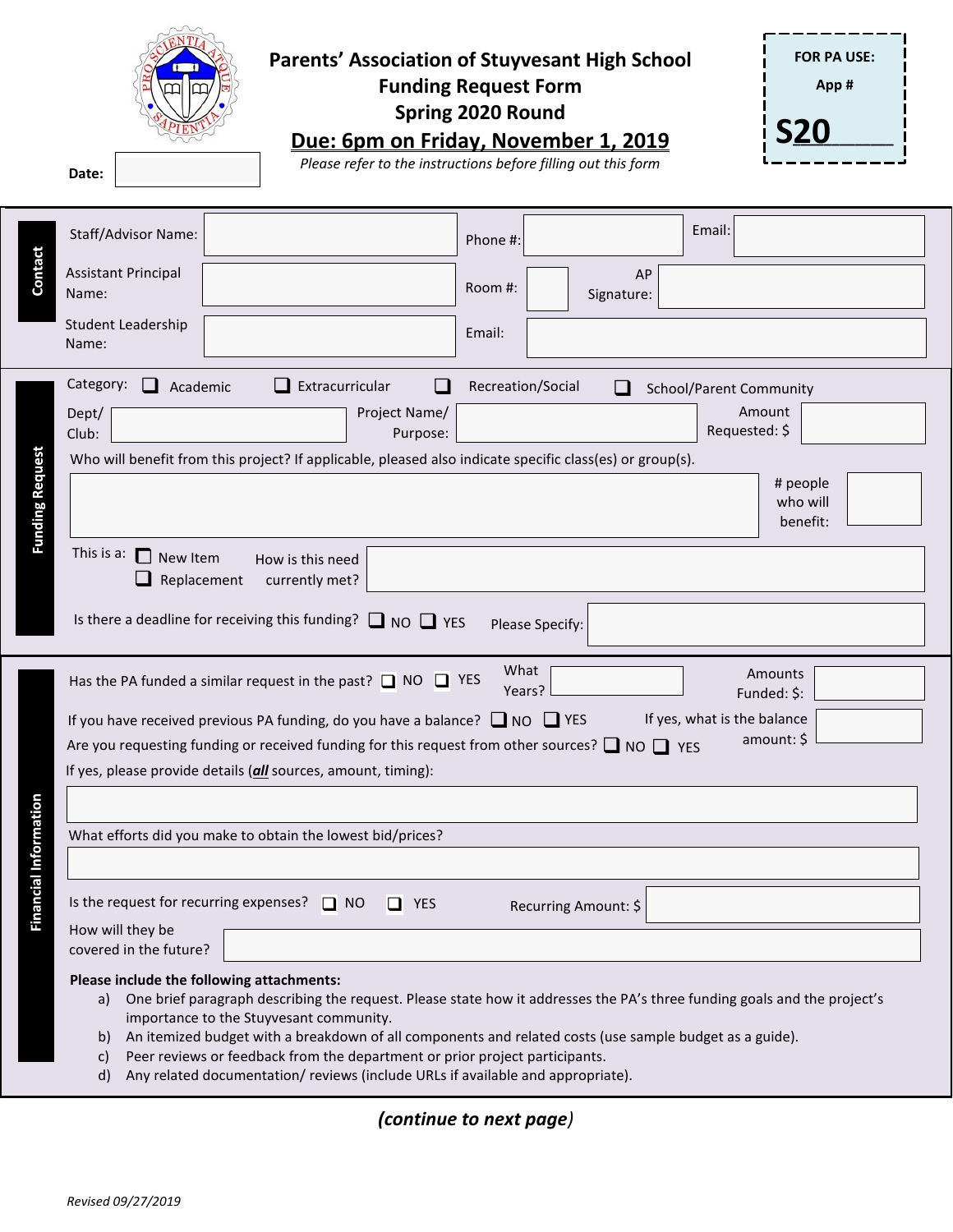## **Parents' Association of Stuyvesant High School**

**Funding Request Form Spring 2020 Round**

**FOR PA USE: App # S20\_\_\_\_\_\_\_\_\_\_\_\_\_**

**Due: 6pm on Friday, November 1, 2019**

**Please refer to the instructions before filling out this form** 

|                                                                                    | Email:<br>Staff/Advisor Name:<br>Phone #:                                                                                                                                                                                                                                                                                                                                                                                                                                                                            |  |  |  |  |  |
|------------------------------------------------------------------------------------|----------------------------------------------------------------------------------------------------------------------------------------------------------------------------------------------------------------------------------------------------------------------------------------------------------------------------------------------------------------------------------------------------------------------------------------------------------------------------------------------------------------------|--|--|--|--|--|
| Contact                                                                            | <b>Assistant Principal</b><br>AP<br>Room #:<br>Name:<br>Signature:                                                                                                                                                                                                                                                                                                                                                                                                                                                   |  |  |  |  |  |
|                                                                                    | Student Leadership<br>Email:<br>Name:                                                                                                                                                                                                                                                                                                                                                                                                                                                                                |  |  |  |  |  |
|                                                                                    | Category:<br>Extracurricular<br>Recreation/Social<br>Academic<br>School/Parent Community                                                                                                                                                                                                                                                                                                                                                                                                                             |  |  |  |  |  |
|                                                                                    | Amount<br>Project Name/<br>Dept/                                                                                                                                                                                                                                                                                                                                                                                                                                                                                     |  |  |  |  |  |
|                                                                                    | Requested: \$<br>Club:<br>Purpose:<br>Who will benefit from this project? If applicable, pleased also indicate specific class(es) or group(s).                                                                                                                                                                                                                                                                                                                                                                       |  |  |  |  |  |
| <b>Funding Request</b>                                                             | # people<br>who will<br>benefit:                                                                                                                                                                                                                                                                                                                                                                                                                                                                                     |  |  |  |  |  |
| This is a: $\Box$<br>New Item<br>How is this need<br>Replacement<br>currently met? |                                                                                                                                                                                                                                                                                                                                                                                                                                                                                                                      |  |  |  |  |  |
|                                                                                    | Is there a deadline for receiving this funding? $\Box$ NO $\Box$ YES<br>Please Specify:                                                                                                                                                                                                                                                                                                                                                                                                                              |  |  |  |  |  |
|                                                                                    | What<br>Amounts<br>Has the PA funded a similar request in the past? $\Box$ NO $\Box$ YES<br>Years?<br>Funded: \$:                                                                                                                                                                                                                                                                                                                                                                                                    |  |  |  |  |  |
|                                                                                    | If yes, what is the balance<br>If you have received previous PA funding, do you have a balance? $\Box$ NO $\Box$ YES                                                                                                                                                                                                                                                                                                                                                                                                 |  |  |  |  |  |
|                                                                                    | amount: \$<br>Are you requesting funding or received funding for this request from other sources? $\Box$ NO $\Box$ YES                                                                                                                                                                                                                                                                                                                                                                                               |  |  |  |  |  |
|                                                                                    | If yes, please provide details (all sources, amount, timing):                                                                                                                                                                                                                                                                                                                                                                                                                                                        |  |  |  |  |  |
|                                                                                    |                                                                                                                                                                                                                                                                                                                                                                                                                                                                                                                      |  |  |  |  |  |
| <b>Information</b>                                                                 | What efforts did you make to obtain the lowest bid/prices?                                                                                                                                                                                                                                                                                                                                                                                                                                                           |  |  |  |  |  |
| Ieial                                                                              |                                                                                                                                                                                                                                                                                                                                                                                                                                                                                                                      |  |  |  |  |  |
| Finar                                                                              | Is the request for recurring expenses? $\Box$ NO $\Box$ YES<br>Recurring Amount: \$                                                                                                                                                                                                                                                                                                                                                                                                                                  |  |  |  |  |  |
|                                                                                    | How will they be<br>covered in the future?                                                                                                                                                                                                                                                                                                                                                                                                                                                                           |  |  |  |  |  |
|                                                                                    | Please include the following attachments:<br>One brief paragraph describing the request. Please state how it addresses the PA's three funding goals and the project's<br>a)<br>importance to the Stuyvesant community.<br>An itemized budget with a breakdown of all components and related costs (use sample budget as a guide).<br>b)<br>Peer reviews or feedback from the department or prior project participants.<br>c)<br>Any related documentation/reviews (include URLs if available and appropriate).<br>d) |  |  |  |  |  |

*(continue to next page)*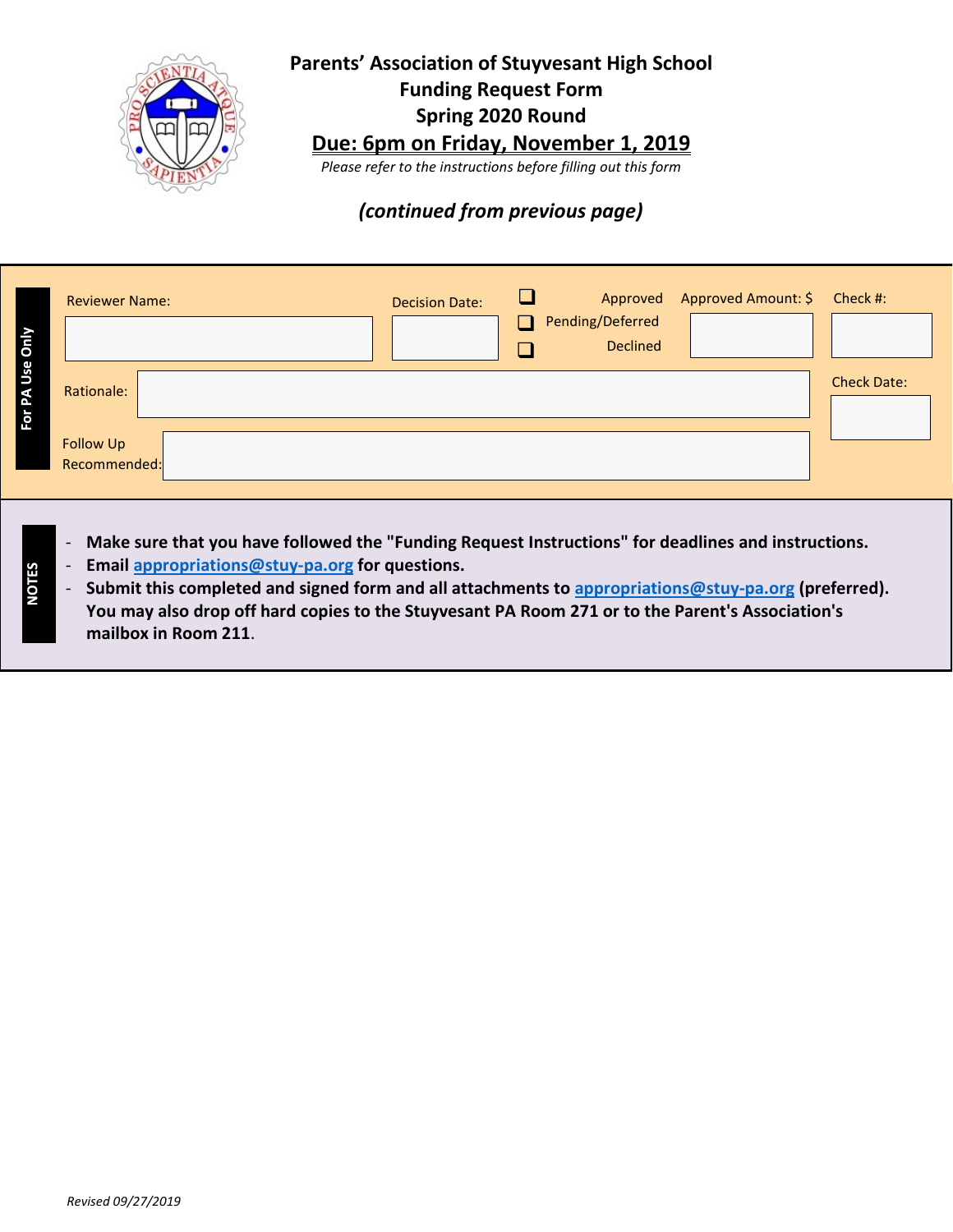

## **Parents' Association of Stuyvesant High School Funding Request Form Spring 2020 Round**

## **Due: 6pm on Friday, November 1, 2019**

*Please refer to the instructions before filling out this form*

## *(continued from previous page)*

| $\overline{5}$ | <b>Reviewer Name:</b>                   | <b>Decision Date:</b> | $\Box$ | Pending/Deferred<br><b>Declined</b> | Approved Approved Amount: \$ Check #: |                    |
|----------------|-----------------------------------------|-----------------------|--------|-------------------------------------|---------------------------------------|--------------------|
| Β<br>ļ,        | Rationale:<br>Follow Up<br>Recommended: |                       |        |                                     |                                       | <b>Check Date:</b> |

- **Make sure that you have followed the "Funding Request Instructions" for deadlines and instructions.**
- **Email [appropriations@stuy‐pa.org](mailto:appropriations@stuy%E2%80%90pa.org) for questions.**
- **Submit this completed and signed form and all attachments to [appropriations@stuy‐pa.org](mailto:appropriations@stuy%E2%80%90pa.org) (preferred). You may also drop off hard copies to the Stuyvesant PA Room 271 or to the Parent's Association's mailbox in Room 211**.

**VOTES**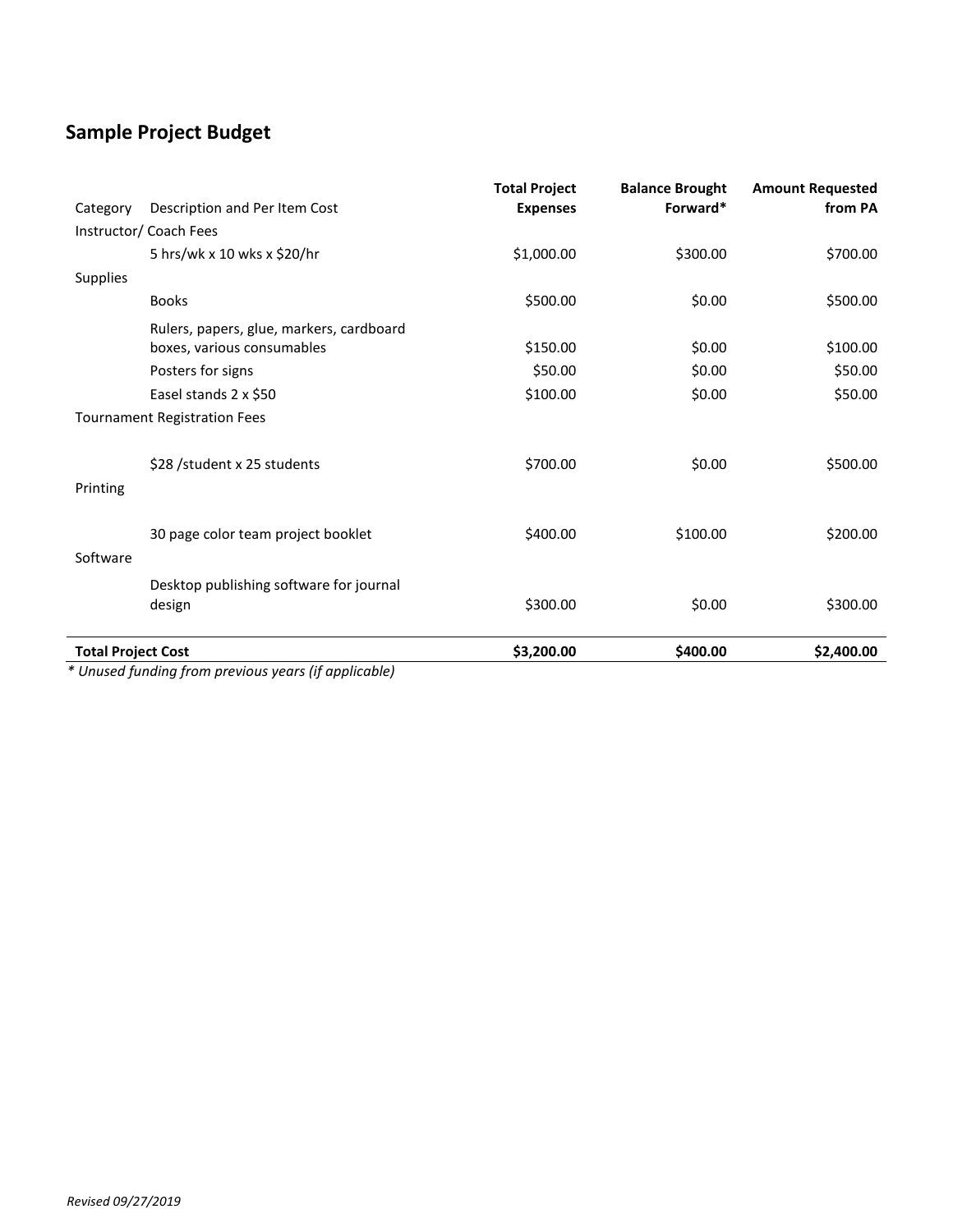## **Sample Project Budget**

| <b>Total Project Cost</b> |                                                                        | \$3,200.00                              | \$400.00                           | \$2,400.00                         |
|---------------------------|------------------------------------------------------------------------|-----------------------------------------|------------------------------------|------------------------------------|
|                           | Desktop publishing software for journal<br>design                      | \$300.00                                | \$0.00                             | \$300.00                           |
| Software                  |                                                                        |                                         |                                    |                                    |
|                           | 30 page color team project booklet                                     | \$400.00                                | \$100.00                           | \$200.00                           |
| Printing                  |                                                                        |                                         |                                    |                                    |
|                           | \$28 /student x 25 students                                            | \$700.00                                | \$0.00                             | \$500.00                           |
|                           | <b>Tournament Registration Fees</b>                                    |                                         |                                    |                                    |
|                           | Easel stands 2 x \$50                                                  | \$100.00                                | \$0.00                             | \$50.00                            |
|                           | Posters for signs                                                      | \$50.00                                 | \$0.00                             | \$50.00                            |
|                           | Rulers, papers, glue, markers, cardboard<br>boxes, various consumables | \$150.00                                | \$0.00                             | \$100.00                           |
|                           | <b>Books</b>                                                           | \$500.00                                | \$0.00                             | \$500.00                           |
| <b>Supplies</b>           |                                                                        |                                         |                                    |                                    |
|                           | 5 hrs/wk x 10 wks x \$20/hr                                            | \$1,000.00                              | \$300.00                           | \$700.00                           |
|                           | Instructor/ Coach Fees                                                 |                                         |                                    |                                    |
| Category                  | Description and Per Item Cost                                          | <b>Total Project</b><br><b>Expenses</b> | <b>Balance Brought</b><br>Forward* | <b>Amount Requested</b><br>from PA |

*\* Unused funding from previous years (if applicable)*